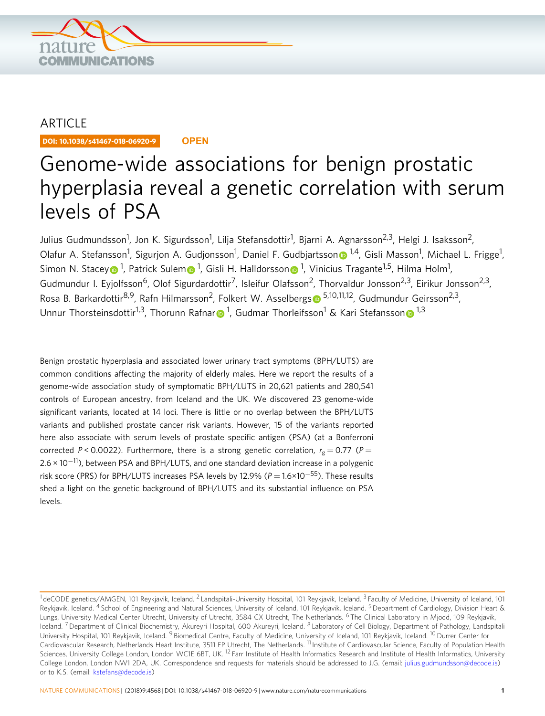

## ARTICLE

DOI: 10.1038/s41467-018-06920-9 **OPEN**

# Genome-wide associations for benign prostatic hyperplasia reveal a genetic correlation with serum levels of PSA

Julius Gudmundsson<sup>1</sup>, Jon K. Sigurdsson<sup>1</sup>, Lilja Stefansdottir<sup>1</sup>, Bjarni A. Agnarsson<sup>2,3</sup>, Helgi J. Isaksson<sup>2</sup>, Olafur A. Stefa[n](http://orcid.org/0000-0002-5222-9857)sson<sup>1</sup>, Sigurjon A. Gudjonsson<sup>1</sup>, Daniel F. Gudbjartsson® <sup>1,4</sup>, Gisli Masson<sup>1</sup>, Michael L. Frigge<sup>1</sup>, Simon N. Stace[y](http://orcid.org/0000-0002-4732-7380) $\textcolor{blue}{\bullet}$ <sup>[1](http://orcid.org/0000-0001-7067-9862)</sup>, Patrick Sule[m](http://orcid.org/0000-0001-7123-6123) $\textcolor{blue}{\bullet}$ <sup>1</sup>, Gisli H. Halldorsso[n](http://orcid.org/0000-0001-7067-9862) $\textcolor{blue}{\bullet}$ <sup>1</sup>, Vinicius Tragante<sup>1,5</sup>, Hilma Holm<sup>1</sup>, Gudmundur I. Eyjolfsson<sup>6</sup>, Olof Sigurdardottir<sup>7</sup>, Isleifur Olafsson<sup>2</sup>, Thorvaldur Jonsson<sup>2,3</sup>, Eirikur Jonsson<sup>2,3</sup>, Ro[s](http://orcid.org/0000-0002-1692-8669)a B. Barkardottir<sup>8,9</sup>, Rafn Hilmarsson<sup>2</sup>, Folkert W. Asselbergs <sup>5,10,11,12</sup>, Gudmundur Geirsson<sup>2,3</sup>, Unnu[r](http://orcid.org/0000-0003-0491-7046) Thorsteinsdottir<sup>[1](http://orcid.org/0000-0003-0491-7046),3</sup>, Thoru[n](http://orcid.org/0000-0003-1676-864X)n Rafnar $\bullet$ <sup>1</sup>, Gudmar Thorleifsson<sup>1</sup> & Kari Stefansson $\bullet$ <sup>1,3</sup>

Benign prostatic hyperplasia and associated lower urinary tract symptoms (BPH/LUTS) are common conditions affecting the majority of elderly males. Here we report the results of a genome-wide association study of symptomatic BPH/LUTS in 20,621 patients and 280,541 controls of European ancestry, from Iceland and the UK. We discovered 23 genome-wide significant variants, located at 14 loci. There is little or no overlap between the BPH/LUTS variants and published prostate cancer risk variants. However, 15 of the variants reported here also associate with serum levels of prostate specific antigen (PSA) (at a Bonferroni corrected P < 0.0022). Furthermore, there is a strong genetic correlation,  $r_g = 0.77$  (P = 2.6 × 10<sup>-11</sup>), between PSA and BPH/LUTS, and one standard deviation increase in a polygenic risk score (PRS) for BPH/LUTS increases PSA levels by 12.9% ( $P = 1.6 \times 10^{-55}$ ). These results shed a light on the genetic background of BPH/LUTS and its substantial influence on PSA levels.

 $1$ deCODE genetics/AMGEN, 101 Reykjavik, Iceland. <sup>2</sup> Landspitali-University Hospital, 101 Reykjavik, Iceland. <sup>3</sup> Faculty of Medicine, University of Iceland, 101 Reykjavik, Iceland. <sup>4</sup> School of Engineering and Natural Sciences, University of Iceland, 101 Reykjavik, Iceland. <sup>5</sup> Department of Cardiology, Division Heart & Lungs, University Medical Center Utrecht, University of Utrecht, 3584 CX Utrecht, The Netherlands. <sup>6</sup> The Clinical Laboratory in Mjodd, 109 Reykjavik, Iceland.<sup>7</sup> Department of Clinical Biochemistry, Akureyri Hospital, 600 Akureyri, Iceland. <sup>8</sup> Laboratory of Cell Biology, Department of Pathology, Landspitali University Hospital, 101 Reykjavik, Iceland. <sup>9</sup> Biomedical Centre, Faculty of Medicine, University of Iceland, 101 Reykjavik, Iceland. <sup>10</sup> Durrer Center for Cardiovascular Research, Netherlands Heart Institute, 3511 EP Utrecht, The Netherlands. <sup>11</sup> Institute of Cardiovascular Science, Faculty of Population Health Sciences, University College London, London WC1E 6BT, UK. <sup>12</sup> Farr Institute of Health Informatics Research and Institute of Health Informatics, University College London, London NW1 2DA, UK. Correspondence and requests for materials should be addressed to J.G. (email: [julius.gudmundsson@decode.is\)](mailto:julius.gudmundsson@decode.is) or to K.S. (email: [kstefans@decode.is\)](mailto:kstefans@decode.is)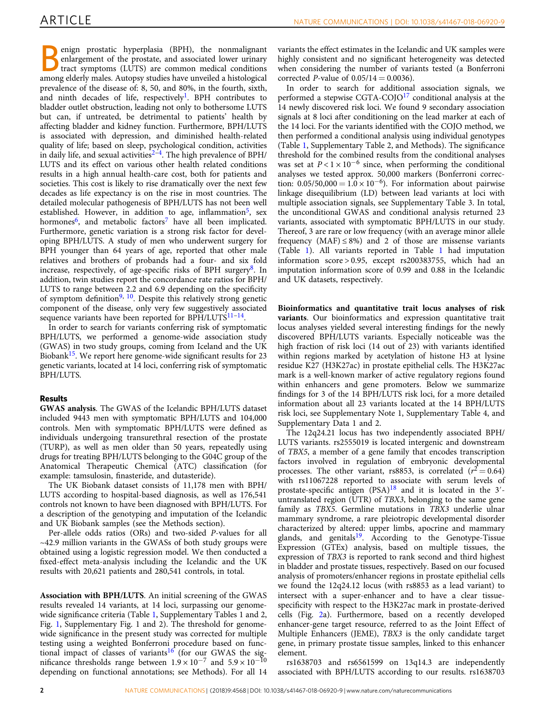enign prostatic hyperplasia (BPH), the nonmalignant enlargement of the prostate, and associated lower urinary tract symptoms (LUTS) are common medical conditions among elderly males. Autopsy studies have unveiled a histological prevalence of the disease of: 8, 50, and 80%, in the fourth, sixth, and ninth decades of life, respectively<sup>1</sup>. BPH contributes to bladder outlet obstruction, leading not only to bothersome LUTS but can, if untreated, be detrimental to patients' health by affecting bladder and kidney function. Furthermore, BPH/LUTS is associated with depression, and diminished health-related quality of life; based on sleep, psychological condition, activities in daily life, and sexual activities $2-4$  $2-4$ . The high prevalence of BPH/ LUTS and its effect on various other health related conditions results in a high annual health-care cost, both for patients and societies. This cost is likely to rise dramatically over the next few decades as life expectancy is on the rise in most countries. The detailed molecular pathogenesis of BPH/LUTS has not been well established. However, in addition to age, inflammation<sup>[5](#page-6-0)</sup>, sex hormones $6$ , and metabolic factors<sup>7</sup> have all been implicated. Furthermore, genetic variation is a strong risk factor for developing BPH/LUTS. A study of men who underwent surgery for BPH younger than 64 years of age, reported that other male relatives and brothers of probands had a four- and six fold increase, respectively, of age-specific risks of BPH surgery $8$ . In addition, twin studies report the concordance rate ratios for BPH/ LUTS to range between 2.2 and 6.9 depending on the specificity of symptom definition<sup>[9,](#page-6-0) 10</sup>. Despite this relatively strong genetic component of the disease, only very few suggestively associated sequence variants have been reported for  $BPH/LUTS<sup>11–14</sup>$  $BPH/LUTS<sup>11–14</sup>$  $BPH/LUTS<sup>11–14</sup>$ .

In order to search for variants conferring risk of symptomatic BPH/LUTS, we performed a genome-wide association study (GWAS) in two study groups, coming from Iceland and the UK Biobank<sup>[15](#page-6-0)</sup>. We report here genome-wide significant results for 23 genetic variants, located at 14 loci, conferring risk of symptomatic BPH/LUTS.

#### Results

GWAS analysis. The GWAS of the Icelandic BPH/LUTS dataset included 9443 men with symptomatic BPH/LUTS and 104,000 controls. Men with symptomatic BPH/LUTS were defined as individuals undergoing transurethral resection of the prostate (TURP), as well as men older than 50 years, repeatedly using drugs for treating BPH/LUTS belonging to the G04C group of the Anatomical Therapeutic Chemical (ATC) classification (for example: tamsulosin, finasteride, and dutasteride).

The UK Biobank dataset consists of 11,178 men with BPH/ LUTS according to hospital-based diagnosis, as well as 176,541 controls not known to have been diagnosed with BPH/LUTS. For a description of the genotyping and imputation of the Icelandic and UK Biobank samples (see the Methods section).

Per-allele odds ratios (ORs) and two-sided P-values for all  $\sim$ 42.9 million variants in the GWASs of both study groups were obtained using a logistic regression model. We then conducted a fixed-effect meta-analysis including the Icelandic and the UK results with 20,621 patients and 280,541 controls, in total.

Association with BPH/LUTS. An initial screening of the GWAS results revealed 14 variants, at 14 loci, surpassing our genomewide significance criteria (Table [1,](#page-3-0) Supplementary Tables 1 and 2, Fig. [1](#page-2-0), Supplementary Fig. 1 and 2). The threshold for genomewide significance in the present study was corrected for multiple testing using a weighted Bonferroni procedure based on func-tional impact of classes of variants<sup>[16](#page-6-0)</sup> (for our GWAS the significance thresholds range between  $1.9 \times 10^{-7}$  and  $5.9 \times 10^{-10}$ depending on functional annotations; see Methods). For all 14

variants the effect estimates in the Icelandic and UK samples were highly consistent and no significant heterogeneity was detected when considering the number of variants tested (a Bonferroni corrected *P*-value of  $0.05/14 = 0.0036$ .

In order to search for additional association signals, we performed a stepwise CGTA-COJO $^{17}$  conditional analysis at the 14 newly discovered risk loci. We found 9 secondary association signals at 8 loci after conditioning on the lead marker at each of the 14 loci. For the variants identified with the COJO method, we then performed a conditional analysis using individual genotypes (Table [1,](#page-3-0) Supplementary Table 2, and Methods). The significance threshold for the combined results from the conditional analyses was set at  $P < 1 \times 10^{-6}$  since, when performing the conditional analyses we tested approx. 50,000 markers (Bonferroni correction:  $0.05/50,000 = 1.0 \times 10^{-6}$ ). For information about pairwise linkage disequilibrium (LD) between lead variants at loci with multiple association signals, see Supplementary Table 3. In total, the unconditional GWAS and conditional analysis returned 23 variants, associated with symptomatic BPH/LUTS in our study. Thereof, 3 are rare or low frequency (with an average minor allele frequency (MAF)  $\leq$  8%) and 2 of those are missense variants (Table [1](#page-3-0)). All variants reported in Table [1](#page-3-0) had imputation information score > 0.95, except rs200383755, which had an imputation information score of 0.99 and 0.88 in the Icelandic and UK datasets, respectively.

Bioinformatics and quantitative trait locus analyses of risk variants. Our bioinformatics and expression quantitative trait locus analyses yielded several interesting findings for the newly discovered BPH/LUTS variants. Especially noticeable was the high fraction of risk loci (14 out of 23) with variants identified within regions marked by acetylation of histone H3 at lysine residue K27 (H3K27ac) in prostate epithelial cells. The H3K27ac mark is a well-known marker of active regulatory regions found within enhancers and gene promoters. Below we summarize findings for 3 of the 14 BPH/LUTS risk loci, for a more detailed information about all 23 variants located at the 14 BPH/LUTS risk loci, see Supplementary Note 1, Supplementary Table 4, and Supplementary Data 1 and 2.

The 12q24.21 locus has two independently associated BPH/ LUTS variants. rs2555019 is located intergenic and downstream of TBX5, a member of a gene family that encodes transcription factors involved in regulation of embryonic developmental processes. The other variant, rs8853, is correlated  $(r^2 = 0.64)$ with rs11067228 reported to associate with serum levels of prostate-specific antigen (PSA)<sup>18</sup> and it is located in the 3'untranslated region (UTR) of TBX3, belonging to the same gene family as TBX5. Germline mutations in TBX3 underlie ulnar mammary syndrome, a rare pleiotropic developmental disorder characterized by altered: upper limbs, apocrine and mammary glands, and genitals<sup>19</sup>. According to the Genotype-Tissue Expression (GTEx) analysis, based on multiple tissues, the expression of TBX3 is reported to rank second and third highest in bladder and prostate tissues, respectively. Based on our focused analysis of promoters/enhancer regions in prostate epithelial cells we found the 12q24.12 locus (with rs8853 as a lead variant) to intersect with a super-enhancer and to have a clear tissuespecificity with respect to the H3K27ac mark in prostate-derived cells (Fig. [2](#page-4-0)a). Furthermore, based on a recently developed enhancer-gene target resource, referred to as the Joint Effect of Multiple Enhancers (JEME), TBX3 is the only candidate target gene, in primary prostate tissue samples, linked to this enhancer element.

rs1638703 and rs6561599 on 13q14.3 are independently associated with BPH/LUTS according to our results. rs1638703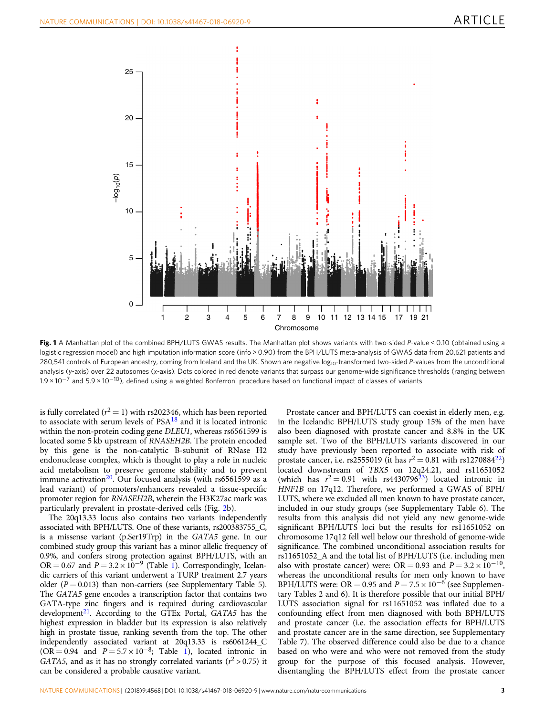<span id="page-2-0"></span>

Fig. 1 A Manhattan plot of the combined BPH/LUTS GWAS results. The Manhattan plot shows variants with two-sided P-value < 0.10 (obtained using a logistic regression model) and high imputation information score (info > 0.90) from the BPH/LUTS meta-analysis of GWAS data from 20,621 patients and 280,541 controls of European ancestry, coming from Iceland and the UK. Shown are negative log<sub>10</sub>-transformed two-sided P-values from the unconditional analysis (y-axis) over 22 autosomes (x-axis). Dots colored in red denote variants that surpass our genome-wide significance thresholds (ranging between 1.9 × 10−<sup>7</sup> and 5.9 × 10<sup>−</sup>10), defined using a weighted Bonferroni procedure based on functional impact of classes of variants

is fully correlated ( $r^2 = 1$ ) with rs202346, which has been reported to associate with serum levels of  $PSA<sup>18</sup>$  $PSA<sup>18</sup>$  $PSA<sup>18</sup>$  and it is located intronic within the non-protein coding gene DLEU1, whereas rs6561599 is located some 5 kb upstream of RNASEH2B. The protein encoded by this gene is the non-catalytic B-subunit of RNase H2 endonuclease complex, which is thought to play a role in nucleic acid metabolism to preserve genome stability and to prevent immune activation<sup>20</sup>. Our focused analysis (with rs6561599 as a lead variant) of promoters/enhancers revealed a tissue-specific promoter region for RNASEH2B, wherein the H3K27ac mark was particularly prevalent in prostate-derived cells (Fig. [2b](#page-4-0)).

The 20q13.33 locus also contains two variants independently associated with BPH/LUTS. One of these variants, rs200383755\_C, is a missense variant (p.Ser19Trp) in the GATA5 gene. In our combined study group this variant has a minor allelic frequency of 0.9%, and confers strong protection against BPH/LUTS, with an OR = 0.67 and  $P = 3.2 \times 10^{-9}$  $P = 3.2 \times 10^{-9}$  $P = 3.2 \times 10^{-9}$  (Table 1). Correspondingly, Icelandic carriers of this variant underwent a TURP treatment 2.7 years older ( $P = 0.013$ ) than non-carriers (see Supplementary Table 5). The GATA5 gene encodes a transcription factor that contains two GATA-type zinc fingers and is required during cardiovascular development<sup>21</sup>. According to the GTEx Portal,  $GATA5$  has the highest expression in bladder but its expression is also relatively high in prostate tissue, ranking seventh from the top. The other independently associated variant at 20q13.33 is rs6061244\_C  $(OR = 0.94$  and  $P = 5.7 \times 10^{-8}$  $P = 5.7 \times 10^{-8}$  $P = 5.7 \times 10^{-8}$ ; Table 1), located intronic in GATA5, and as it has no strongly correlated variants ( $r^2 > 0.75$ ) it can be considered a probable causative variant.

Prostate cancer and BPH/LUTS can coexist in elderly men, e.g. in the Icelandic BPH/LUTS study group 15% of the men have also been diagnosed with prostate cancer and 8.8% in the UK sample set. Two of the BPH/LUTS variants discovered in our study have previously been reported to associate with risk of prostate cancer, i.e. rs2555019 (it has  $r^2 = 0.81$  with rs1270884<sup>22</sup>) located downstream of TBX5 on 12q24.21, and rs11651052 (which has  $r^2 = 0.91$  with rs4430796<sup>[23](#page-6-0)</sup>) located intronic in HNF1B on 17q12. Therefore, we performed a GWAS of BPH/ LUTS, where we excluded all men known to have prostate cancer, included in our study groups (see Supplementary Table 6). The results from this analysis did not yield any new genome-wide significant BPH/LUTS loci but the results for rs11651052 on chromosome 17q12 fell well below our threshold of genome-wide significance. The combined unconditional association results for rs11651052\_A and the total list of BPH/LUTS (i.e. including men also with prostate cancer) were: OR = 0.93 and  $P = 3.2 \times 10^{-10}$ , whereas the unconditional results for men only known to have BPH/LUTS were: OR = 0.95 and  $P = 7.5 \times 10^{-6}$  (see Supplementary Tables 2 and 6). It is therefore possible that our initial BPH/ LUTS association signal for rs11651052 was inflated due to a confounding effect from men diagnosed with both BPH/LUTS and prostate cancer (i.e. the association effects for BPH/LUTS and prostate cancer are in the same direction, see Supplementary Table 7). The observed difference could also be due to a chance based on who were and who were not removed from the study group for the purpose of this focused analysis. However, disentangling the BPH/LUTS effect from the prostate cancer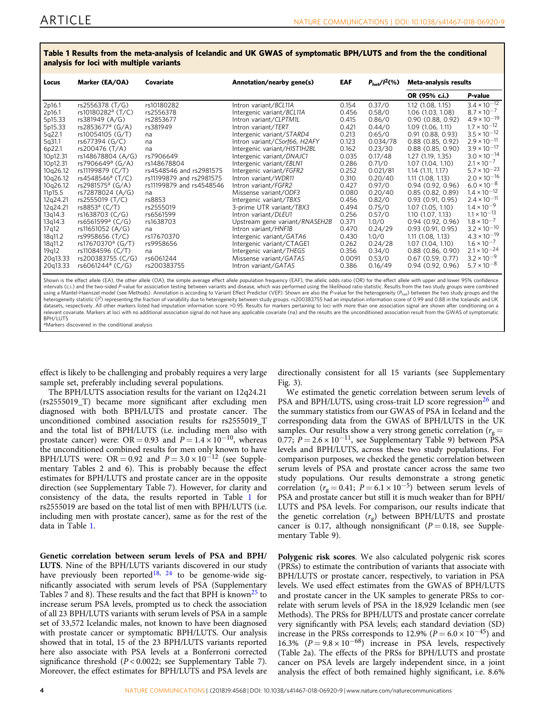| Locus                                                                                                                                                                                                                                                                                                                                                                                                                                                                                                                                                                                                                         | Marker (EA/OA)                | Covariate                | Annotation/nearby gene(s)      | EAF    | $P_{\rm het}/I^2(\%)$ | Meta-analysis results |                       |  |  |  |
|-------------------------------------------------------------------------------------------------------------------------------------------------------------------------------------------------------------------------------------------------------------------------------------------------------------------------------------------------------------------------------------------------------------------------------------------------------------------------------------------------------------------------------------------------------------------------------------------------------------------------------|-------------------------------|--------------------------|--------------------------------|--------|-----------------------|-----------------------|-----------------------|--|--|--|
|                                                                                                                                                                                                                                                                                                                                                                                                                                                                                                                                                                                                                               |                               |                          |                                |        |                       | OR (95% c.i.)         | P-value               |  |  |  |
| 2p16.1                                                                                                                                                                                                                                                                                                                                                                                                                                                                                                                                                                                                                        | rs2556378 (T/G)               | rs10180282               | Intron variant/BCL11A          | 0.154  | 0.37/0                | 1.12 (1.08, 1.15)     | $3.4 \times 10^{-12}$ |  |  |  |
| 2p16.1                                                                                                                                                                                                                                                                                                                                                                                                                                                                                                                                                                                                                        | rs10180282 <sup>a</sup> (T/C) | rs2556378                | Intergenic variant/BCL11A      | 0.456  | 0.58/0                | 1.06 (1.03, 1.08)     | $8.7 \times 10^{-7}$  |  |  |  |
| 5p15.33                                                                                                                                                                                                                                                                                                                                                                                                                                                                                                                                                                                                                       | rs381949 (A/G)                | rs2853677                | Intron variant/CLPTM1L         | 0.415  | 0.86/0                | 0.90(0.88, 0.92)      | $4.9 \times 10^{-19}$ |  |  |  |
| 5p15.33                                                                                                                                                                                                                                                                                                                                                                                                                                                                                                                                                                                                                       | rs2853677ª (G/A)              | rs381949                 | Intron variant/TERT            | 0.421  | 0.44/0                | 1.09(1.06, 1.11)      | $1.7 \times 10^{-12}$ |  |  |  |
| 5q22.1                                                                                                                                                                                                                                                                                                                                                                                                                                                                                                                                                                                                                        | rs10054105 (G/T)              | na                       | Intergenic variant/STARD4      | 0.213  | 0.65/0                | 0.91(0.88, 0.93)      | $3.5 \times 10^{-12}$ |  |  |  |
| 5q31.1                                                                                                                                                                                                                                                                                                                                                                                                                                                                                                                                                                                                                        | rs677394 (G/C)                | na                       | Intron variant/C5orf66, H2AFY  | 0.123  | 0.034/78              | 0.88(0.85, 0.92)      | $2.9 \times 10^{-11}$ |  |  |  |
| 6p22.1                                                                                                                                                                                                                                                                                                                                                                                                                                                                                                                                                                                                                        | rs200476 (T/A)                | na                       | Intergenic variant/HIST1H2BL   | 0.162  | 0.23/30               | 0.88(0.85, 0.90)      | $3.9 \times 10^{-17}$ |  |  |  |
| 10p12.31                                                                                                                                                                                                                                                                                                                                                                                                                                                                                                                                                                                                                      | rs148678804 (A/G)             | rs7906649                | Intergenic variant/DNAJC1      | 0.035  | 0.17/48               | 1.27(1.19, 1.35)      | $3.0 \times 10^{-14}$ |  |  |  |
| 10p12.31                                                                                                                                                                                                                                                                                                                                                                                                                                                                                                                                                                                                                      | rs7906649ª (G/A)              | rs148678804              | Intergenic variant/EBLN1       | 0.286  | 0.71/0                | 1.07(1.04.1.10)       | $2.1 \times 10^{-7}$  |  |  |  |
| 10q26.12                                                                                                                                                                                                                                                                                                                                                                                                                                                                                                                                                                                                                      | rs11199879 (C/T)              | rs4548546 and rs2981575  | Intergenic variant/FGFR2       | 0.252  | 0.021/81              | $1.14$ $(1.11, 1.17)$ | $5.7 \times 10^{-23}$ |  |  |  |
| 10q26.12                                                                                                                                                                                                                                                                                                                                                                                                                                                                                                                                                                                                                      | rs4548546 <sup>a</sup> (T/C)  | rs11199879 and rs2981575 | Intron variant/WDR11           | 0.310  | 0.20/40               | 1.11(1.08, 1.13)      | $2.0 \times 10^{-16}$ |  |  |  |
| 10q26.12                                                                                                                                                                                                                                                                                                                                                                                                                                                                                                                                                                                                                      | rs2981575ª (G/A)              | rs11199879 and rs4548546 | Intron variant/FGFR2           | 0.427  | 0.97/0                | 0.94(0.92, 0.96)      | $6.0 \times 10^{-8}$  |  |  |  |
| 11p15.5                                                                                                                                                                                                                                                                                                                                                                                                                                                                                                                                                                                                                       | rs72878024 (A/G)              | na                       | Missense variant/ODF3          | 0.080  | 0.20/40               | 0.85(0.82, 0.89)      | $1.4 \times 10^{-12}$ |  |  |  |
| 12q24.21                                                                                                                                                                                                                                                                                                                                                                                                                                                                                                                                                                                                                      | rs2555019 (T/C)               | rs8853                   | Intergenic variant/TBX5        | 0.456  | 0.82/0                | 0.93(0.91, 0.95)      | $2.4 \times 10^{-11}$ |  |  |  |
| 12q24.21                                                                                                                                                                                                                                                                                                                                                                                                                                                                                                                                                                                                                      | rs8853ª (C/T)                 | rs2555019                | 3-prime UTR variant/TBX3       | 0.494  | 0.75/0                | 1.07(1.05, 1.10)      | $1.4 \times 10^{-9}$  |  |  |  |
| 13q14.3                                                                                                                                                                                                                                                                                                                                                                                                                                                                                                                                                                                                                       | rs1638703 (C/G)               | rs6561599                | Intron variant/DLEU1           | 0.256  | 0.57/0                | 1.10(1.07, 1.13)      | $1.1 \times 10^{-13}$ |  |  |  |
| 13q14.3                                                                                                                                                                                                                                                                                                                                                                                                                                                                                                                                                                                                                       | rs6561599ª (C/G)              | rs1638703                | Upstream gene variant/RNASEH2B | 0.371  | 1.0/0                 | 0.94(0.92, 0.96)      | $1.8 \times 10^{-7}$  |  |  |  |
| 17q12                                                                                                                                                                                                                                                                                                                                                                                                                                                                                                                                                                                                                         | rs11651052 (A/G)              | na                       | Intron variant/HNF1B           | 0.470  | 0.24/29               | 0.93(0.91, 0.95)      | $3.2 \times 10^{-10}$ |  |  |  |
| 18q11.2                                                                                                                                                                                                                                                                                                                                                                                                                                                                                                                                                                                                                       | rs9958656 (T/C)               | rs17670370               | Intergenic variant/GATA6       | 0.430  | 1.0/0                 | 1.11(1.08, 1.13)      | $4.3 \times 10^{-19}$ |  |  |  |
| 18q11.2                                                                                                                                                                                                                                                                                                                                                                                                                                                                                                                                                                                                                       | rs17670370 <sup>a</sup> (G/T) | rs9958656                | Intergenic variant/CTAGE1      | 0.262  | 0.24/28               | 1.07 (1.04, 1.10)     | $1.6 \times 10^{-7}$  |  |  |  |
| 19 <sub>a12</sub>                                                                                                                                                                                                                                                                                                                                                                                                                                                                                                                                                                                                             | rs11084596 (C/T)              | na                       | Intergenic variant/THEG5       | 0.356  | 0.34/0                | 0.88(0.86, 0.90)      | $2.1 \times 10^{-24}$ |  |  |  |
| 20q13.33                                                                                                                                                                                                                                                                                                                                                                                                                                                                                                                                                                                                                      | rs200383755 (C/G)             | rs6061244                | Missense variant/GATA5         | 0.0091 | 0.53/0                | $0.67$ (0.59, 0.77)   | $3.2 \times 10^{-9}$  |  |  |  |
| 20q13.33                                                                                                                                                                                                                                                                                                                                                                                                                                                                                                                                                                                                                      | rs6061244ª (C/G)              | rs200383755              | Intron variant/GATA5           | 0.386  | 0.16/49               | 0.94 (0.92, 0.96)     | $5.7 \times 10^{-8}$  |  |  |  |
| Shown is the effect allele (EA), the other allele (OA), the simple average effect allele population frequency (EAF), the allelic odds ratio (OR) for the effect allele with upper and lower 95% confidence<br>intervals (c.i.) and the two-sided P-value for association testing between variants and disease, which was performed using the likelihood ratio statistic. Results from the two study groups were combined<br>using a Mantel Haensal model (see Methods), Annotation is according to Variant Effect Prodictor (VED). Shown are also the Pualue for the beterogeneity (P. ) between the two study groups and the |                               |                          |                                |        |                       |                       |                       |  |  |  |

<span id="page-3-0"></span>Table 1 Results from the meta-analysis of Icelandic and UK GWAS of symptomatic BPH/LUTS and from the the conditional analysis for loci with multiple variants

using a Mantel-Haenszel model (see Methods). Annotation is according to Variant Effect Predictor (VEP). Shown are also the P-value for the heterogeneity (P<sub>het</sub>) between the two study groups and the<br>heterogeneity statistic datasets, respectively. All other markers listed had imputation information score >0.95. Results for markers pertaining to loci with more than one association signal are shown after conditioning on a relevant covariate. Markers at loci with no additional association signal do not have any applicable covariate (na) and the results are the unconditioned association result from the GWAS of symptomatic BPH/LUTS

aMarkers discovered in the conditional analysis

effect is likely to be challenging and probably requires a very large sample set, preferably including several populations.

The BPH/LUTS association results for the variant on 12q24.21 (rs2555019\_T) became more significant after excluding men diagnosed with both BPH/LUTS and prostate cancer. The unconditioned combined association results for rs2555019\_T and the total list of BPH/LUTS (i.e. including men also with prostate cancer) were: OR = 0.93 and  $P = 1.4 \times 10^{-10}$ , whereas the unconditioned combined results for men only known to have BPH/LUTS were: OR = 0.92 and  $P = 3.0 \times 10^{-12}$  (see Supplementary Tables 2 and 6). This is probably because the effect estimates for BPH/LUTS and prostate cancer are in the opposite direction (see Supplementary Table 7). However, for clarity and consistency of the data, the results reported in Table 1 for rs2555019 are based on the total list of men with BPH/LUTS (i.e. including men with prostate cancer), same as for the rest of the data in Table 1.

Genetic correlation between serum levels of PSA and BPH/ LUTS. Nine of the BPH/LUTS variants discovered in our study have previously been reported<sup>[18](#page-6-0), [24](#page-6-0)</sup> to be genome-wide significantly associated with serum levels of PSA (Supplementary Tables 7 and 8). These results and the fact that BPH is known<sup>[25](#page-6-0)</sup> to increase serum PSA levels, prompted us to check the association of all 23 BPH/LUTS variants with serum levels of PSA in a sample set of 33,572 Icelandic males, not known to have been diagnosed with prostate cancer or symptomatic BPH/LUTS. Our analysis showed that in total, 15 of the 23 BPH/LUTS variants reported here also associate with PSA levels at a Bonferroni corrected significance threshold  $(P < 0.0022$ ; see Supplementary Table 7). Moreover, the effect estimates for BPH/LUTS and PSA levels are directionally consistent for all 15 variants (see Supplementary Fig. 3).

We estimated the genetic correlation between serum levels of PSA and BPH/LUTS, using cross-trait LD score regression<sup>[26](#page-6-0)</sup> and the summary statistics from our GWAS of PSA in Iceland and the corresponding data from the GWAS of BPH/LUTS in the UK samples. Our results show a very strong genetic correlation ( $r_g$  = 0.77;  $P = 2.6 \times 10^{-11}$ , see Supplementary Table 9) between PSA levels and BPH/LUTS, across these two study populations. For comparison purposes, we checked the genetic correlation between serum levels of PSA and prostate cancer across the same two study populations. Our results demonstrate a strong genetic correlation ( $r_g = 0.41$ ;  $P = 6.1 \times 10^{-5}$ ) between serum levels of PSA and prostate cancer but still it is much weaker than for BPH/ LUTS and PSA levels. For comparison, our results indicate that the genetic correlation  $(r_{\rm g})$  between BPH/LUTS and prostate cancer is 0.17, although nonsignificant ( $P = 0.18$ , see Supplementary Table 9).

Polygenic risk scores. We also calculated polygenic risk scores (PRSs) to estimate the contribution of variants that associate with BPH/LUTS or prostate cancer, respectively, to variation in PSA levels. We used effect estimates from the GWAS of BPH/LUTS and prostate cancer in the UK samples to generate PRSs to correlate with serum levels of PSA in the 18,929 Icelandic men (see Methods). The PRSs for BPH/LUTS and prostate cancer correlate very significantly with PSA levels; each standard deviation (SD) increase in the PRSs corresponds to 12.9% ( $P = 6.0 \times 10^{-45}$ ) and 16.3% ( $P = 9.8 \times 10^{-68}$ ) increase in PSA levels, respectively (Table 2a). The effects of the PRSs for BPH/LUTS and prostate cancer on PSA levels are largely independent since, in a joint analysis the effect of both remained highly significant, i.e. 8.6%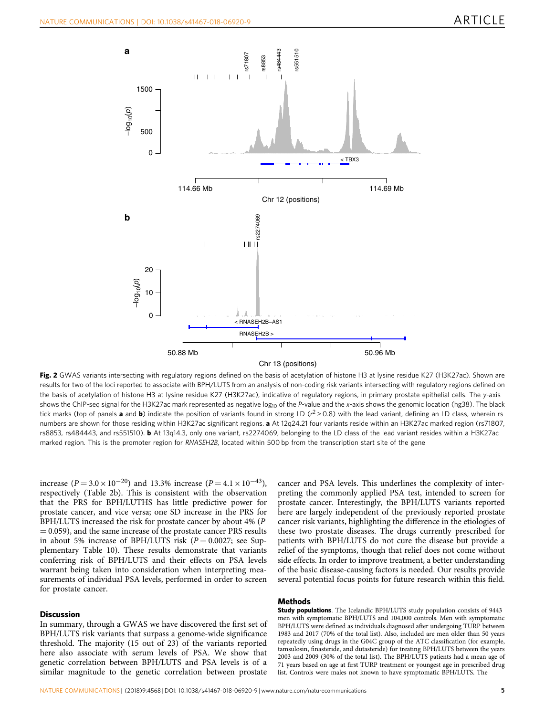<span id="page-4-0"></span>

Fig. 2 GWAS variants intersecting with regulatory regions defined on the basis of acetylation of histone H3 at lysine residue K27 (H3K27ac). Shown are results for two of the loci reported to associate with BPH/LUTS from an analysis of non-coding risk variants intersecting with regulatory regions defined on the basis of acetylation of histone H3 at lysine residue K27 (H3K27ac), indicative of regulatory regions, in primary prostate epithelial cells. The y-axis shows the ChIP-seq signal for the H3K27ac mark represented as negative  $log_{10}$  of the P-value and the x-axis shows the genomic location (hg38). The black tick marks (top of panels **a** and **b**) indicate the position of variants found in strong LD ( $r^2 > 0.8$ ) with the lead variant, defining an LD class, wherein rs numbers are shown for those residing within H3K27ac significant regions. a At 12q24.21 four variants reside within an H3K27ac marked region (rs71807, rs8853, rs484443, and rs551510). b At 13q14.3, only one variant, rs2274069, belonging to the LD class of the lead variant resides within a H3K27ac marked region. This is the promoter region for RNASEH2B, located within 500 bp from the transcription start site of the gene

increase ( $P = 3.0 \times 10^{-20}$ ) and 13.3% increase ( $P = 4.1 \times 10^{-43}$ ), respectively (Table 2b). This is consistent with the observation that the PRS for BPH/LUTHS has little predictive power for prostate cancer, and vice versa; one SD increase in the PRS for BPH/LUTS increased the risk for prostate cancer by about 4% (P  $= 0.059$ ), and the same increase of the prostate cancer PRS results in about 5% increase of BPH/LUTS risk  $(P = 0.0027;$  see Supplementary Table 10). These results demonstrate that variants conferring risk of BPH/LUTS and their effects on PSA levels warrant being taken into consideration when interpreting measurements of individual PSA levels, performed in order to screen for prostate cancer.

#### **Discussion**

In summary, through a GWAS we have discovered the first set of BPH/LUTS risk variants that surpass a genome-wide significance threshold. The majority (15 out of 23) of the variants reported here also associate with serum levels of PSA. We show that genetic correlation between BPH/LUTS and PSA levels is of a similar magnitude to the genetic correlation between prostate

cancer and PSA levels. This underlines the complexity of interpreting the commonly applied PSA test, intended to screen for prostate cancer. Interestingly, the BPH/LUTS variants reported here are largely independent of the previously reported prostate cancer risk variants, highlighting the difference in the etiologies of these two prostate diseases. The drugs currently prescribed for patients with BPH/LUTS do not cure the disease but provide a relief of the symptoms, though that relief does not come without side effects. In order to improve treatment, a better understanding of the basic disease-causing factors is needed. Our results provide several potential focus points for future research within this field.

### Methods

Study populations. The Icelandic BPH/LUTS study population consists of 9443 men with symptomatic BPH/LUTS and 104,000 controls. Men with symptomatic BPH/LUTS were defined as individuals diagnosed after undergoing TURP between 1983 and 2017 (70% of the total list). Also, included are men older than 50 years repeatedly using drugs in the G04C group of the ATC classification (for example, tamsulosin, finasteride, and dutasteride) for treating BPH/LUTS between the years 2003 and 2009 (30% of the total list). The BPH/LUTS patients had a mean age of 71 years based on age at first TURP treatment or youngest age in prescribed drug list. Controls were males not known to have symptomatic BPH/LUTS. The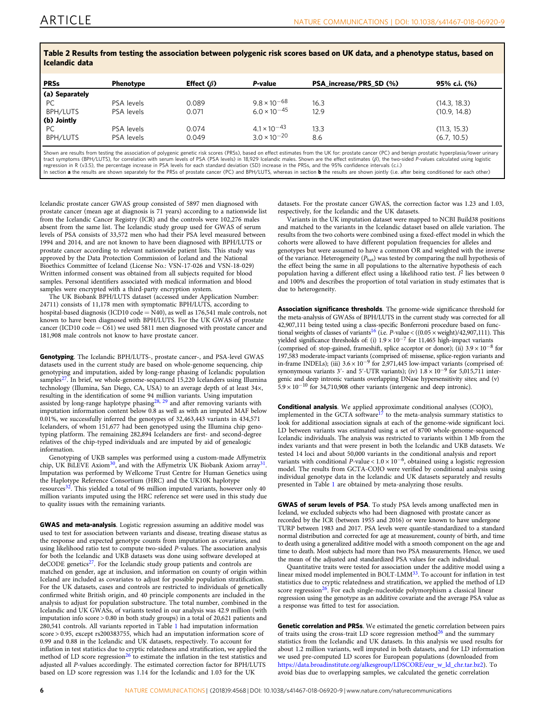| <u>rasio = itoomito iraili tootiik tiis assaanutali setirasii bariboine risk saaras an art annal aim a birsiistika suutusi aasaa all</u><br>Icelandic data |                  |                  |                       |                         |              |  |  |  |
|------------------------------------------------------------------------------------------------------------------------------------------------------------|------------------|------------------|-----------------------|-------------------------|--------------|--|--|--|
| <b>PRSs</b>                                                                                                                                                | <b>Phenotype</b> | Effect $(\beta)$ | P-value               | PSA_increase/PRS_SD (%) | 95% c.i. (%) |  |  |  |
| (a) Separately                                                                                                                                             |                  |                  |                       |                         |              |  |  |  |
| PC.                                                                                                                                                        | PSA levels       | 0.089            | $9.8 \times 10^{-68}$ | 16.3                    | (14.3, 18.3) |  |  |  |
| BPH/LUTS                                                                                                                                                   | PSA levels       | 0.071            | $6.0 \times 10^{-45}$ | 12.9                    | (10.9, 14.8) |  |  |  |
| (b) Jointly                                                                                                                                                |                  |                  |                       |                         |              |  |  |  |
| PC                                                                                                                                                         | PSA levels       | 0.074            | $4.1 \times 10^{-43}$ | 13.3                    | (11.3, 15.3) |  |  |  |
| <b>BPH/LUTS</b>                                                                                                                                            | PSA levels       | 0.049            | $3.0 \times 10^{-20}$ | 8.6                     | (6.7, 10.5)  |  |  |  |

Table 2 Results from testing the association between polygenic risk scores based on UK data, and a phenotype status, based on

Shown are results from testing the association of polygenic genetic risk scores (PRSs), based on effect estimates from the UK for: prostate cancer (PC) and benign prostatic hyperplasia/lower urinary tract symptoms (BPH/LUTS), for correlation with serum levels of PSA (PSA levels) in 18,929 Icelandic males. Shown are the effect estimates (β), the two-sided P-values calculated using logistic<br>regression in R (v3.5), the p In section a the results are shown separately for the PRSs of prostate cancer (PC) and BPH/LUTS, whereas in section b the results are shown jointly (i.e. after being conditioned for each other)

Icelandic prostate cancer GWAS group consisted of 5897 men diagnosed with prostate cancer (mean age at diagnosis is 71 years) according to a nationwide list from the Icelandic Cancer Registry (ICR) and the controls were 102,276 males absent from the same list. The Icelandic study group used for GWAS of serum levels of PSA consists of 33,572 men who had their PSA level measured between 1994 and 2014, and are not known to have been diagnosed with BPH/LUTS or prostate cancer according to relevant nationwide patient lists. This study was approved by the Data Protection Commission of Iceland and the National Bioethics Committee of Iceland (License No.: VSN-17-026 and VSN-18-029) Written informed consent was obtained from all subjects requited for blood samples. Personal identifiers associated with medical information and blood samples were encrypted with a third-party encryption system.

The UK Biobank BPH/LUTS dataset (accessed under Application Number: 24711) consists of 11,178 men with symptomatic BPH/LUTS, according to hospital-based diagnosis (ICD10 code =  $N40$ ), as well as 176,541 male controls, not known to have been diagnosed with BPH/LUTS. For the UK GWAS of prostate cancer (ICD10 code =  $C61$ ) we used 5811 men diagnosed with prostate cancer and 181,908 male controls not know to have prostate cancer.

Genotyping. The Icelandic BPH/LUTS-, prostate cancer-, and PSA-level GWAS datasets used in the current study are based on whole-genome sequencing, chip genotyping and imputation, aided by long-range phasing of Icelandic population samples[27.](#page-6-0) In brief, we whole-genome-sequenced 15,220 Icelanders using Illumina technology (Illumina, San Diego, CA, USA) to an average depth of at least 34×, resulting in the identification of some 94 million variants. Using imputation assisted by long-range haplotype phasing<sup>[28](#page-6-0), [29](#page-6-0)</sup> and after removing variants with imputation information content below 0.8 as well as with an imputed MAF below 0.01%, we successfully inferred the genotypes of 32,463,443 variants in 434,571 Icelanders, of whom 151,677 had been genotyped using the Illumina chip genotyping platform. The remaining 282,894 Icelanders are first- and second-degree relatives of the chip-typed individuals and are imputed by aid of genealogic information.

Genotyping of UKB samples was performed using a custom-made Affymetrix chip, UK BiLEVE Axiom<sup>30</sup>, and with the Affymetrix UK Biobank Axiom array<sup>31</sup>. Imputation was performed by Wellcome Trust Centre for Human Genetics using the Haplotype Reference Consortium (HRC) and the UK10K haplotype resources $32$ . This yielded a total of 96 million imputed variants, however only 40 million variants imputed using the HRC reference set were used in this study due to quality issues with the remaining variants.

GWAS and meta-analysis. Logistic regression assuming an additive model was used to test for association between variants and disease, treating disease status as the response and expected genotype counts from imputation as covariates, and using likelihood ratio test to compute two-sided P-values. The association analysis for both the Icelandic and UKB datasets was done using software developed at deCODE genetics<sup>27</sup>. For the Icelandic study group patients and controls are matched on gender, age at inclusion, and information on county of origin within Iceland are included as covariates to adjust for possible population stratification. For the UK datasets, cases and controls are restricted to individuals of genetically confirmed white British origin, and 40 principle components are included in the analysis to adjust for population substructure. The total number, combined in the Icelandic and UK GWASs, of variants tested in our analysis was 42.9 million (with imputation info score > 0.80 in both study groups) in a total of 20,621 patients and 280,541 controls. All variants reported in Table [1](#page-3-0) had imputation information score > 0.95, except rs200383755, which had an imputation information score of 0.99 and 0.88 in the Icelandic and UK datasets, respectively. To account for inflation in test statistics due to cryptic relatedness and stratification, we applied the method of LD score regression<sup>[26](#page-6-0)</sup> to estimate the inflation in the test statistics and adjusted all P-values accordingly. The estimated correction factor for BPH/LUTS based on LD score regression was 1.14 for the Icelandic and 1.03 for the UK

datasets. For the prostate cancer GWAS, the correction factor was 1.23 and 1.03, respectively, for the Icelandic and the UK datasets.

Variants in the UK imputation dataset were mapped to NCBI Build38 positions and matched to the variants in the Icelandic dataset based on allele variation. The results from the two cohorts were combined using a fixed-effect model in which the cohorts were allowed to have different population frequencies for alleles and genotypes but were assumed to have a common OR and weighted with the inverse of the variance. Heterogeneity  $(P_{\text{het}})$  was tested by comparing the null hypothesis of the effect being the same in all populations to the alternative hypothesis of each population having a different effect using a likelihood ratio test.  $I^2$  lies between 0 and 100% and describes the proportion of total variation in study estimates that is due to heterogeneity.

Association significance thresholds. The genome-wide significance threshold for the meta-analysis of GWASs of BPH/LUTS in the current study was corrected for all 42,907,111 being tested using a class-specific Bonferroni procedure based on functional weights of classes of variants<sup>16</sup> (i.e. *P*-value <  $((0.05 \times \text{weight})/42,907,111)$ . This yielded significance thresholds of: (i)  $1.9 \times 10^{-7}$  for 11,465 high-impact variants (comprised of: stop-gained, frameshift, splice acceptor or donor); (ii)  $3.9 \times 10^{-8}$  for 197,583 moderate-impact variants (comprised of: missense, splice-region variants and in-frame INDELs); (iii)  $3.6 \times 10^{-9}$  for 2,971,445 low-impact variants (comprised of: synonymous variants 3′- and 5′-UTR variants); (iv)  $1.8 \times 10^{-9}$  for 5,015,711 intergenic and deep intronic variants overlapping DNase hypersensitivity sites; and (v)  $5.9 \times 10^{-10}$  for 34,710,908 other variants (intergenic and deep intronic).

**Conditional analysis**. We applied approximate conditional analyses (COJO), implemented in the GCTA software<sup>[17](#page-6-0)</sup> to the meta-analysis summary statistics to look for additional association signals at each of the genome-wide significant loci. LD between variants was estimated using a set of 8700 whole-genome-sequenced Icelandic individuals. The analysis was restricted to variants within 1 Mb from the index variants and that were present in both the Icelandic and UKB datasets. We tested 14 loci and about 50,000 variants in the conditional analysis and report variants with conditional  $P$ -value <  $1.0 \times 10^{-6}$ , obtained using a logistic regression model. The results from GCTA-COJO were verified by conditional analysis using individual genotype data in the Icelandic and UK datasets separately and results presented in Table [1](#page-3-0) are obtained by meta-analyzing those results.

GWAS of serum levels of PSA. To study PSA levels among unaffected men in Iceland, we excluded subjects who had been diagnosed with prostate cancer as recorded by the ICR (between 1955 and 2016) or were known to have undergone TURP between 1983 and 2017. PSA levels were quantile-standardized to a standard normal distribution and corrected for age at measurement, county of birth, and time to death using a generalized additive model with a smooth component on the age and time to death. Most subjects had more than two PSA measurements. Hence, we used the mean of the adjusted and standardized PSA values for each individual.

Quantitative traits were tested for association under the additive model using a linear mixed model implemented in BOLT-LMM<sup>33</sup>. To account for inflation in test statistics due to cryptic relatedness and stratification, we applied the method of LD score regression<sup>26</sup>. For each single-nucleotide polymorphism a classical linear regression using the genotype as an additive covariate and the average PSA value as a response was fitted to test for association.

Genetic correlation and PRSs. We estimated the genetic correlation between pairs of traits using the cross-trait LD score regression method<sup>[26](#page-6-0)</sup> and the summary statistics from the Icelandic and UK datasets. In this analysis we used results for about 1.2 million variants, well imputed in both datasets, and for LD information we used pre-computed LD scores for European populations (downloaded from [https://data.broadinstitute.org/alkesgroup/LDSCORE/eur\\_w\\_ld\\_chr.tar.bz2](https://data.broadinstitute.org/alkesgroup/LDSCORE/eur_w_ld_chr.tar.bz2)). To avoid bias due to overlapping samples, we calculated the genetic correlation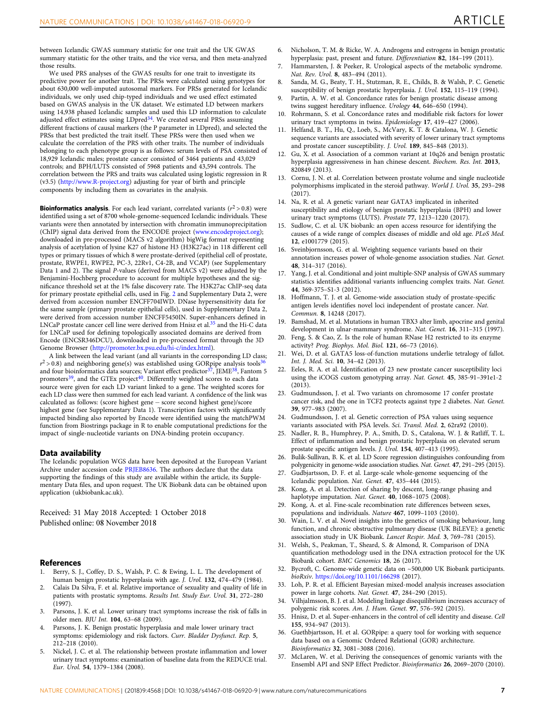<span id="page-6-0"></span>between Icelandic GWAS summary statistic for one trait and the UK GWAS summary statistic for the other traits, and the vice versa, and then meta-analyzed those results.

We used PRS analyses of the GWAS results for one trait to investigate its predictive power for another trait. The PRSs were calculated using genotypes for about 630,000 well-imputed autosomal markers. For PRSs generated for Icelandic individuals, we only used chip-typed individuals and we used effect estimated based on GWAS analysis in the UK dataset. We estimated LD between markers using 14,938 phased Icelandic samples and used this LD information to calculate adjusted effect estimates using LDpred<sup>34</sup>. We created several PRSs assuming different fractions of causal markers (the P parameter in LDpred), and selected the PRSs that best predicted the trait itself. These PRSs were then used when we calculate the correlation of the PRS with other traits. The number of individuals belonging to each phenotype group is as follows: serum levels of PSA consisted of 18,929 Icelandic males; prostate cancer consisted of 3464 patients and 43,029 controls; and BPH/LUTS consisted of 5968 patients and 43,594 controls. The correlation between the PRS and traits was calculated using logistic regression in R (v3.5) [\(http://www.R-project.org](http://www.R-project.org)) adjusting for year of birth and principle components by including them as covariates in the analysis.

**Bioinformatics analysis.** For each lead variant, correlated variants  $(r^2 > 0.8)$  were identified using a set of 8700 whole-genome-sequenced Icelandic individuals. These variants were then annotated by intersection with chromatin immunoprecipitation (ChIP) signal data derived from the ENCODE project ([www.encodeproject.org\)](http://www.encodeproject.org); downloaded in pre-processed (MACS v2 algorithm) bigWig format representing analysis of acetylation of lysine K27 of histone H3 (H3K27ac) in 118 different cell types or primary tissues of which 8 were prostate-derived (epithelial cell of prostate, prostate, RWPE1, RWPE2, PC-3, 22Rv1, C4-2B, and VCAP) (see Supplementary Data 1 and 2). The signal P-values (derived from MACS v2) were adjusted by the Benjamini-Hochberg procedure to account for multiple hypotheses and the significance threshold set at the 1% false discovery rate. The H3K27ac ChIP-seq data for primary prostate epithelial cells, used in Fig. [2](#page-4-0) and Supplementary Data 2, were derived from accession number ENCFF704IWD. DNase hypersensitivity data for the same sample (primary prostate epithelial cells), used in Supplementary Data 2, were derived from accession number ENCFF5450IN. Super-enhancers defined in LNCaP prostate cancer cell line were derived from Hnisz et al.<sup>35</sup> and the Hi-C data for LNCaP used for defining topologically associated domains are derived from Encode (ENCSR346DCU), downloaded in pre-processed format through the 3D Genome Browser ([http://promoter.bx.psu.edu/hi-c/index.html\)](http://promoter.bx.psu.edu/hi-c/index.html).

A link between the lead variant (and all variants in the corresponding LD class;  $r^2$  > 0.8) and neighboring gene(s) was established using GORpipe analysis tools<sup>3</sup> and four bioinformatics data sources; Variant effect predictor<sup>37</sup>, JEME<sup>[38](#page-7-0)</sup>, Fantom 5 promoters $39$ , and the GTEx project $40$ . Differently weighted scores to each data source were given for each LD variant linked to a gene. The weighted scores for each LD class were then summed for each lead variant. A confidence of the link was calculated as follows: (score highest gene − score second highest gene)/score highest gene (see Supplementary Data 1). Transcription factors with significantly impacted binding also reported by Encode were identified using the matchPWM function from Biostrings package in R to enable computational predictions for the impact of single-nucleotide variants on DNA-binding protein occupancy.

#### Data availability

The Icelandic population WGS data have been deposited at the European Variant Archive under accession code [PRJEB8636](https://www.ebi.ac.uk/ebisearch/search.ebi?query=PRJEB8636&submit=Search&db=allebi&requestFrom=global-masthead). The authors declare that the data supporting the findings of this study are available within the article, its Supplementary Data files, and upon request. The UK Biobank data can be obtained upon application (ukbiobank.ac.uk).

Received: 31 May 2018 Accepted: 1 October 2018 Published online: 08 November 2018

#### References

- Berry, S. J., Coffey, D. S., Walsh, P. C. & Ewing, L. L. The development of human benign prostatic hyperplasia with age. J. Urol. 132, 474–479 (1984).
- 2. Calais Da Silva, F. et al. Relative importance of sexuality and quality of life in patients with prostatic symptoms. Results Int. Study Eur. Urol. 31, 272–280 (1997).
- 3. Parsons, J. K. et al. Lower urinary tract symptoms increase the risk of falls in older men. BJU Int. 104, 63–68 (2009).
- Parsons, J. K. Benign prostatic hyperplasia and male lower urinary tract symptoms: epidemiology and risk factors. Curr. Bladder Dysfunct. Rep. 5, 212–218 (2010).
- 5. Nickel, J. C. et al. The relationship between prostate inflammation and lower urinary tract symptoms: examination of baseline data from the REDUCE trial. Eur. Urol. 54, 1379–1384 (2008).
- 6. Nicholson, T. M. & Ricke, W. A. Androgens and estrogens in benign prostatic hyperplasia: past, present and future. Differentiation 82, 184-199 (2011).
- 7. Hammarsten, J. & Peeker, R. Urological aspects of the metabolic syndrome. Nat. Rev. Urol. 8, 483–494 (2011).
- 8. Sanda, M. G., Beaty, T. H., Stutzman, R. E., Childs, B. & Walsh, P. C. Genetic susceptibility of benign prostatic hyperplasia. J. Urol. 152, 115–119 (1994).
- Partin, A. W. et al. Concordance rates for benign prostatic disease among twins suggest hereditary influence. Urology 44, 646–650 (1994).
- 10. Rohrmann, S. et al. Concordance rates and modifiable risk factors for lower urinary tract symptoms in twins. Epidemiology 17, 419–427 (2006).
- 11. Helfand, B. T., Hu, Q., Loeb, S., McVary, K. T. & Catalona, W. J. Genetic sequence variants are associated with severity of lower urinary tract symptoms and prostate cancer susceptibility. J. Urol. 189, 845–848 (2013).
- 12. Gu, X. et al. Association of a common variant at 10q26 and benign prostatic hyperplasia aggressiveness in han chinese descent. Biochem. Res. Int. 2013, 820849 (2013).
- 13. Cornu, J. N. et al. Correlation between prostate volume and single nucleotide polymorphisms implicated in the steroid pathway. World J. Urol. 35, 293–298 (2017).
- 14. Na, R. et al. A genetic variant near GATA3 implicated in inherited susceptibility and etiology of benign prostatic hyperplasia (BPH) and lower urinary tract symptoms (LUTS). Prostate 77, 1213–1220 (2017).
- 15. Sudlow, C. et al. UK biobank: an open access resource for identifying the causes of a wide range of complex diseases of middle and old age. PLoS Med. 12, e1001779 (2015).
- 16. Sveinbjornsson, G. et al. Weighting sequence variants based on their annotation increases power of whole-genome association studies. Nat. Genet. 48, 314–317 (2016).
- 17. Yang, J. et al. Conditional and joint multiple-SNP analysis of GWAS summary statistics identifies additional variants influencing complex traits. Nat. Genet. 44, 369-375–S1-3 (2012).
- 18. Hoffmann, T. J. et al. Genome-wide association study of prostate-specific antigen levels identifies novel loci independent of prostate cancer. Nat. Commun. 8, 14248 (2017).
- 19. Bamshad, M. et al. Mutations in human TBX3 alter limb, apocrine and genital development in ulnar-mammary syndrome. Nat. Genet. 16, 311–315 (1997).
- 20. Feng, S. & Cao, Z. Is the role of human RNase H2 restricted to its enzyme activity? Prog. Biophys. Mol. Biol. 121, 66–73 (2016).
- 21. Wei, D. et al. GATA5 loss-of-function mutations underlie tetralogy of fallot. Int. J. Med. Sci. 10, 34–42 (2013).
- 22. Eeles, R. A. et al. Identification of 23 new prostate cancer susceptibility loci using the iCOGS custom genotyping array. Nat. Genet. 45, 385-91–391e1-2 (2013).
- 23. Gudmundsson, J. et al. Two variants on chromosome 17 confer prostate cancer risk, and the one in TCF2 protects against type 2 diabetes. Nat. Genet. 39, 977–983 (2007).
- 24. Gudmundsson, J. et al. Genetic correction of PSA values using sequence variants associated with PSA levels. Sci. Transl. Med. 2, 62ra92 (2010).
- 25. Nadler, R. B., Humphrey, P. A., Smith, D. S., Catalona, W. J. & Ratliff, T. L. Effect of inflammation and benign prostatic hyperplasia on elevated serum prostate specific antigen levels. J. Urol. 154, 407–413 (1995).
- 26. Bulik-Sullivan, B. K. et al. LD Score regression distinguishes confounding from polygenicity in genome-wide association studies. Nat. Genet. 47, 291–295 (2015).
- 27. Gudbjartsson, D. F. et al. Large-scale whole-genome sequencing of the Icelandic population. Nat. Genet. 47, 435–444 (2015).
- 28. Kong, A. et al. Detection of sharing by descent, long-range phasing and haplotype imputation. Nat. Genet. 40, 1068–1075 (2008).
- 29. Kong, A. et al. Fine-scale recombination rate differences between sexes, populations and individuals. Nature 467, 1099–1103 (2010).
- 30. Wain, L. V. et al. Novel insights into the genetics of smoking behaviour, lung function, and chronic obstructive pulmonary disease (UK BiLEVE): a genetic association study in UK Biobank. Lancet Respir. Med. 3, 769–781 (2015).
- 31. Welsh, S., Peakman, T., Sheard, S. & Almond, R. Comparison of DNA quantification methodology used in the DNA extraction protocol for the UK Biobank cohort. BMC Genomics 18, 26 (2017).
- 32. Bycroft, C. Genome-wide genetic data on ~500,000 UK Biobank participants. bioRxiv. <https://doi.org/10.1101/166298> (2017).
- 33. Loh, P. R. et al. Efficient Bayesian mixed-model analysis increases association power in large cohorts. Nat. Genet. 47, 284-290 (2015).
- 34. Vilhjalmsson, B. J. et al. Modeling linkage disequilibrium increases accuracy of polygenic risk scores. Am. J. Hum. Genet. 97, 576–592 (2015).
- 35. Hnisz, D. et al. Super-enhancers in the control of cell identity and disease. Cell 155, 934–947 (2013).
- 36. Guethbjartsson, H. et al. GORpipe: a query tool for working with sequence data based on a Genomic Ordered Relational (GOR) architecture. Bioinformatics 32, 3081–3088 (2016).
- 37. McLaren, W. et al. Deriving the consequences of genomic variants with the Ensembl API and SNP Effect Predictor. Bioinformatics 26, 2069–2070 (2010).